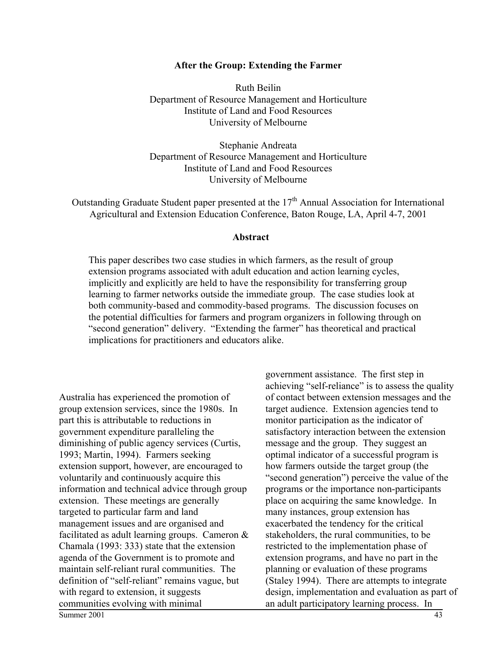#### **After the Group: Extending the Farmer**

Ruth Beilin Department of Resource Management and Horticulture Institute of Land and Food Resources University of Melbourne

Stephanie Andreata Department of Resource Management and Horticulture Institute of Land and Food Resources University of Melbourne

Outstanding Graduate Student paper presented at the  $17<sup>th</sup>$  Annual Association for International Agricultural and Extension Education Conference, Baton Rouge, LA, April 4-7, 2001

#### **Abstract**

This paper describes two case studies in which farmers, as the result of group extension programs associated with adult education and action learning cycles, implicitly and explicitly are held to have the responsibility for transferring group learning to farmer networks outside the immediate group. The case studies look at both community-based and commodity-based programs. The discussion focuses on the potential difficulties for farmers and program organizers in following through on "second generation" delivery. "Extending the farmer" has theoretical and practical implications for practitioners and educators alike.

Australia has experienced the promotion of group extension services, since the 1980s. In part this is attributable to reductions in government expenditure paralleling the diminishing of public agency services (Curtis, 1993; Martin, 1994). Farmers seeking extension support, however, are encouraged to voluntarily and continuously acquire this information and technical advice through group extension. These meetings are generally targeted to particular farm and land management issues and are organised and facilitated as adult learning groups. Cameron & Chamala (1993: 333) state that the extension agenda of the Government is to promote and maintain self-reliant rural communities. The definition of "self-reliant" remains vague, but with regard to extension, it suggests communities evolving with minimal

government assistance. The first step in achieving "self-reliance" is to assess the quality of contact between extension messages and the target audience. Extension agencies tend to monitor participation as the indicator of satisfactory interaction between the extension message and the group. They suggest an optimal indicator of a successful program is how farmers outside the target group (the "second generation") perceive the value of the programs or the importance non-participants place on acquiring the same knowledge. In many instances, group extension has exacerbated the tendency for the critical stakeholders, the rural communities, to be restricted to the implementation phase of extension programs, and have no part in the planning or evaluation of these programs (Staley 1994). There are attempts to integrate design, implementation and evaluation as part of an adult participatory learning process. In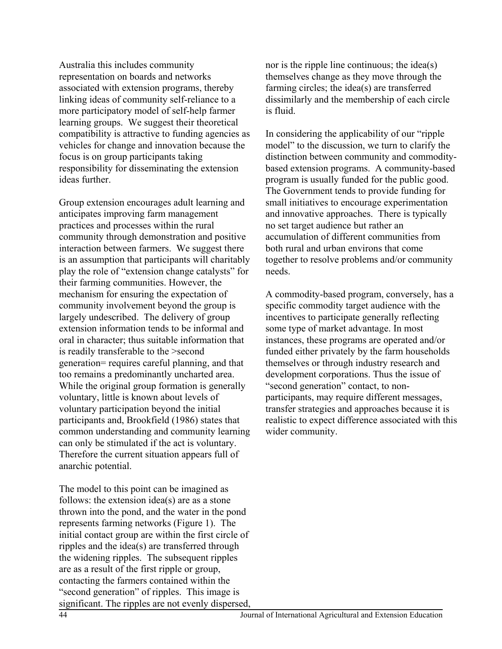Australia this includes community representation on boards and networks associated with extension programs, thereby linking ideas of community self-reliance to a more participatory model of self-help farmer learning groups. We suggest their theoretical compatibility is attractive to funding agencies as vehicles for change and innovation because the focus is on group participants taking responsibility for disseminating the extension ideas further.

Group extension encourages adult learning and anticipates improving farm management practices and processes within the rural community through demonstration and positive interaction between farmers. We suggest there is an assumption that participants will charitably play the role of "extension change catalysts" for their farming communities. However, the mechanism for ensuring the expectation of community involvement beyond the group is largely undescribed. The delivery of group extension information tends to be informal and oral in character; thus suitable information that is readily transferable to the >second generation= requires careful planning, and that too remains a predominantly uncharted area. While the original group formation is generally voluntary, little is known about levels of voluntary participation beyond the initial participants and, Brookfield (1986) states that common understanding and community learning can only be stimulated if the act is voluntary. Therefore the current situation appears full of anarchic potential.

The model to this point can be imagined as follows: the extension idea(s) are as a stone thrown into the pond, and the water in the pond represents farming networks (Figure 1). The initial contact group are within the first circle of ripples and the idea(s) are transferred through the widening ripples. The subsequent ripples are as a result of the first ripple or group, contacting the farmers contained within the "second generation" of ripples. This image is significant. The ripples are not evenly dispersed, nor is the ripple line continuous; the idea(s) themselves change as they move through the farming circles; the idea(s) are transferred dissimilarly and the membership of each circle is fluid.

In considering the applicability of our "ripple model" to the discussion, we turn to clarify the distinction between community and commoditybased extension programs. A community-based program is usually funded for the public good. The Government tends to provide funding for small initiatives to encourage experimentation and innovative approaches. There is typically no set target audience but rather an accumulation of different communities from both rural and urban environs that come together to resolve problems and/or community needs.

A commodity-based program, conversely, has a specific commodity target audience with the incentives to participate generally reflecting some type of market advantage. In most instances, these programs are operated and/or funded either privately by the farm households themselves or through industry research and development corporations. Thus the issue of "second generation" contact, to nonparticipants, may require different messages, transfer strategies and approaches because it is realistic to expect difference associated with this wider community.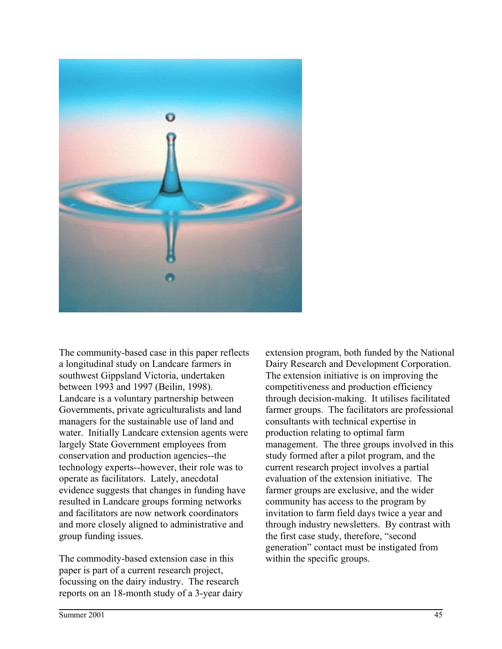

The community-based case in this paper reflects a longitudinal study on Landcare farmers in southwest Gippsland Victoria, undertaken between 1993 and 1997 (Beilin, 1998). Landcare is a voluntary partnership between Governments, private agriculturalists and land managers for the sustainable use of land and water. Initially Landcare extension agents were largely State Government employees from conservation and production agencies--the technology experts--however, their role was to operate as facilitators. Lately, anecdotal evidence suggests that changes in funding have resulted in Landcare groups forming networks and facilitators are now network coordinators and more closely aligned to administrative and group funding issues.

The commodity-based extension case in this paper is part of a current research project, focussing on the dairy industry. The research reports on an 18-month study of a 3-year dairy extension program, both funded by the National Dairy Research and Development Corporation. The extension initiative is on improving the competitiveness and production efficiency through decision-making. It utilises facilitated farmer groups. The facilitators are professional consultants with technical expertise in production relating to optimal farm management. The three groups involved in this study formed after a pilot program, and the current research project involves a partial evaluation of the extension initiative. The farmer groups are exclusive, and the wider community has access to the program by invitation to farm field days twice a year and through industry newsletters. By contrast with the first case study, therefore, "second generation" contact must be instigated from within the specific groups.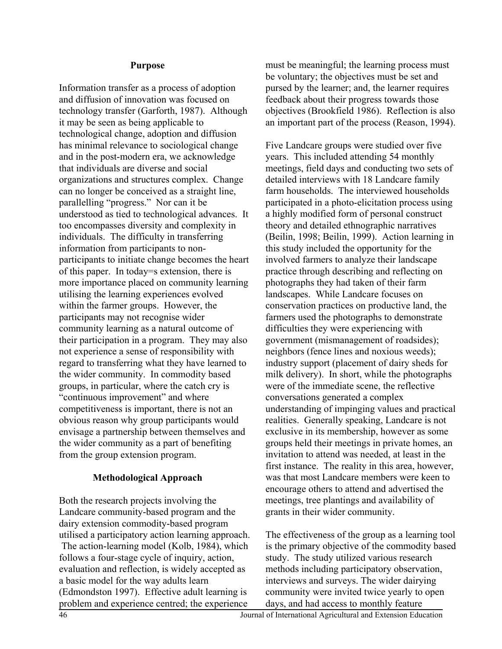## **Purpose**

Information transfer as a process of adoption and diffusion of innovation was focused on technology transfer (Garforth, 1987). Although it may be seen as being applicable to technological change, adoption and diffusion has minimal relevance to sociological change and in the post-modern era, we acknowledge that individuals are diverse and social organizations and structures complex. Change can no longer be conceived as a straight line, parallelling "progress." Nor can it be understood as tied to technological advances. It too encompasses diversity and complexity in individuals. The difficulty in transferring information from participants to nonparticipants to initiate change becomes the heart of this paper. In today=s extension, there is more importance placed on community learning utilising the learning experiences evolved within the farmer groups. However, the participants may not recognise wider community learning as a natural outcome of their participation in a program. They may also not experience a sense of responsibility with regard to transferring what they have learned to the wider community. In commodity based groups, in particular, where the catch cry is "continuous improvement" and where competitiveness is important, there is not an obvious reason why group participants would envisage a partnership between themselves and the wider community as a part of benefiting from the group extension program.

# **Methodological Approach**

Both the research projects involving the Landcare community-based program and the dairy extension commodity-based program utilised a participatory action learning approach. The action-learning model (Kolb, 1984), which follows a four-stage cycle of inquiry, action, evaluation and reflection, is widely accepted as a basic model for the way adults learn (Edmondston 1997). Effective adult learning is problem and experience centred; the experience

must be meaningful; the learning process must be voluntary; the objectives must be set and pursed by the learner; and, the learner requires feedback about their progress towards those objectives (Brookfield 1986). Reflection is also an important part of the process (Reason, 1994).

Five Landcare groups were studied over five years. This included attending 54 monthly meetings, field days and conducting two sets of detailed interviews with 18 Landcare family farm households. The interviewed households participated in a photo-elicitation process using a highly modified form of personal construct theory and detailed ethnographic narratives (Beilin, 1998; Beilin, 1999). Action learning in this study included the opportunity for the involved farmers to analyze their landscape practice through describing and reflecting on photographs they had taken of their farm landscapes. While Landcare focuses on conservation practices on productive land, the farmers used the photographs to demonstrate difficulties they were experiencing with government (mismanagement of roadsides); neighbors (fence lines and noxious weeds); industry support (placement of dairy sheds for milk delivery). In short, while the photographs were of the immediate scene, the reflective conversations generated a complex understanding of impinging values and practical realities. Generally speaking, Landcare is not exclusive in its membership, however as some groups held their meetings in private homes, an invitation to attend was needed, at least in the first instance. The reality in this area, however, was that most Landcare members were keen to encourage others to attend and advertised the meetings, tree plantings and availability of grants in their wider community.

The effectiveness of the group as a learning tool is the primary objective of the commodity based study. The study utilized various research methods including participatory observation, interviews and surveys. The wider dairying community were invited twice yearly to open days, and had access to monthly feature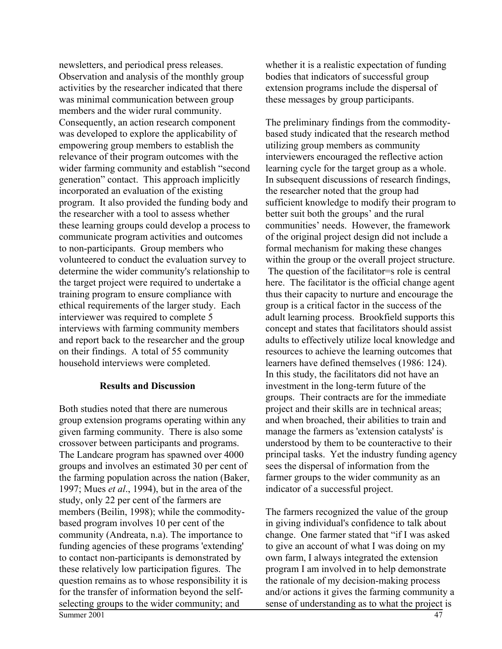newsletters, and periodical press releases. Observation and analysis of the monthly group activities by the researcher indicated that there was minimal communication between group members and the wider rural community. Consequently, an action research component was developed to explore the applicability of empowering group members to establish the relevance of their program outcomes with the wider farming community and establish "second generation" contact. This approach implicitly incorporated an evaluation of the existing program. It also provided the funding body and the researcher with a tool to assess whether these learning groups could develop a process to communicate program activities and outcomes to non-participants. Group members who volunteered to conduct the evaluation survey to determine the wider community's relationship to the target project were required to undertake a training program to ensure compliance with ethical requirements of the larger study. Each interviewer was required to complete 5 interviews with farming community members and report back to the researcher and the group on their findings. A total of 55 community household interviews were completed.

# **Results and Discussion**

Both studies noted that there are numerous group extension programs operating within any given farming community. There is also some crossover between participants and programs. The Landcare program has spawned over 4000 groups and involves an estimated 30 per cent of the farming population across the nation (Baker, 1997; Mues *et al*., 1994), but in the area of the study, only 22 per cent of the farmers are members (Beilin, 1998); while the commoditybased program involves 10 per cent of the community (Andreata, n.a). The importance to funding agencies of these programs 'extending' to contact non-participants is demonstrated by these relatively low participation figures. The question remains as to whose responsibility it is for the transfer of information beyond the selfselecting groups to the wider community; and

whether it is a realistic expectation of funding bodies that indicators of successful group extension programs include the dispersal of these messages by group participants.

The preliminary findings from the commoditybased study indicated that the research method utilizing group members as community interviewers encouraged the reflective action learning cycle for the target group as a whole. In subsequent discussions of research findings, the researcher noted that the group had sufficient knowledge to modify their program to better suit both the groups' and the rural communities' needs. However, the framework of the original project design did not include a formal mechanism for making these changes within the group or the overall project structure. The question of the facilitator=s role is central here. The facilitator is the official change agent thus their capacity to nurture and encourage the group is a critical factor in the success of the adult learning process. Brookfield supports this concept and states that facilitators should assist adults to effectively utilize local knowledge and resources to achieve the learning outcomes that learners have defined themselves (1986: 124). In this study, the facilitators did not have an investment in the long-term future of the groups. Their contracts are for the immediate project and their skills are in technical areas; and when broached, their abilities to train and manage the farmers as 'extension catalysts' is understood by them to be counteractive to their principal tasks. Yet the industry funding agency sees the dispersal of information from the farmer groups to the wider community as an indicator of a successful project.

The farmers recognized the value of the group in giving individual's confidence to talk about change. One farmer stated that "if I was asked to give an account of what I was doing on my own farm, I always integrated the extension program I am involved in to help demonstrate the rationale of my decision-making process and/or actions it gives the farming community a sense of understanding as to what the project is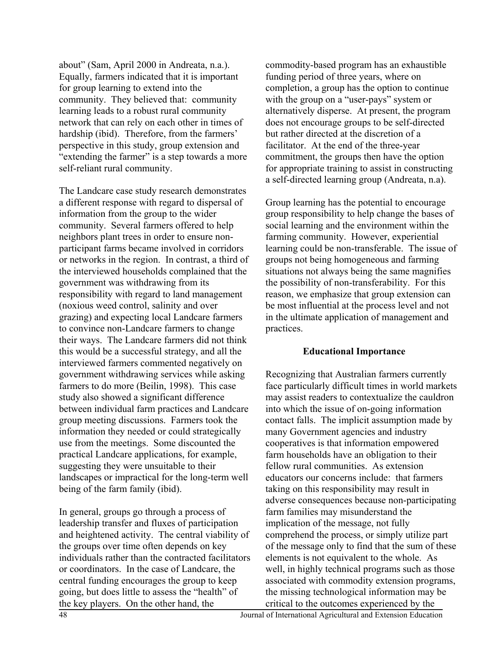about" (Sam, April 2000 in Andreata, n.a.). Equally, farmers indicated that it is important for group learning to extend into the community. They believed that: community learning leads to a robust rural community network that can rely on each other in times of hardship (ibid). Therefore, from the farmers' perspective in this study, group extension and "extending the farmer" is a step towards a more self-reliant rural community.

The Landcare case study research demonstrates a different response with regard to dispersal of information from the group to the wider community. Several farmers offered to help neighbors plant trees in order to ensure nonparticipant farms became involved in corridors or networks in the region. In contrast, a third of the interviewed households complained that the government was withdrawing from its responsibility with regard to land management (noxious weed control, salinity and over grazing) and expecting local Landcare farmers to convince non-Landcare farmers to change their ways. The Landcare farmers did not think this would be a successful strategy, and all the interviewed farmers commented negatively on government withdrawing services while asking farmers to do more (Beilin, 1998). This case study also showed a significant difference between individual farm practices and Landcare group meeting discussions. Farmers took the information they needed or could strategically use from the meetings. Some discounted the practical Landcare applications, for example, suggesting they were unsuitable to their landscapes or impractical for the long-term well being of the farm family (ibid).

In general, groups go through a process of leadership transfer and fluxes of participation and heightened activity. The central viability of the groups over time often depends on key individuals rather than the contracted facilitators or coordinators. In the case of Landcare, the central funding encourages the group to keep going, but does little to assess the "health" of the key players. On the other hand, the

commodity-based program has an exhaustible funding period of three years, where on completion, a group has the option to continue with the group on a "user-pays" system or alternatively disperse. At present, the program does not encourage groups to be self-directed but rather directed at the discretion of a facilitator. At the end of the three-year commitment, the groups then have the option for appropriate training to assist in constructing a self-directed learning group (Andreata, n.a).

Group learning has the potential to encourage group responsibility to help change the bases of social learning and the environment within the farming community. However, experiential learning could be non-transferable. The issue of groups not being homogeneous and farming situations not always being the same magnifies the possibility of non-transferability. For this reason, we emphasize that group extension can be most influential at the process level and not in the ultimate application of management and practices.

## **Educational Importance**

Recognizing that Australian farmers currently face particularly difficult times in world markets may assist readers to contextualize the cauldron into which the issue of on-going information contact falls. The implicit assumption made by many Government agencies and industry cooperatives is that information empowered farm households have an obligation to their fellow rural communities. As extension educators our concerns include: that farmers taking on this responsibility may result in adverse consequences because non-participating farm families may misunderstand the implication of the message, not fully comprehend the process, or simply utilize part of the message only to find that the sum of these elements is not equivalent to the whole. As well, in highly technical programs such as those associated with commodity extension programs, the missing technological information may be critical to the outcomes experienced by the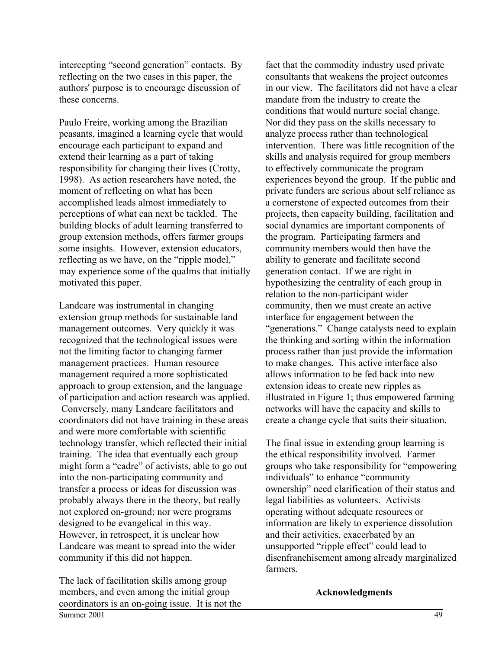intercepting "second generation" contacts. By reflecting on the two cases in this paper, the authors' purpose is to encourage discussion of these concerns.

Paulo Freire, working among the Brazilian peasants, imagined a learning cycle that would encourage each participant to expand and extend their learning as a part of taking responsibility for changing their lives (Crotty, 1998). As action researchers have noted, the moment of reflecting on what has been accomplished leads almost immediately to perceptions of what can next be tackled. The building blocks of adult learning transferred to group extension methods, offers farmer groups some insights. However, extension educators, reflecting as we have, on the "ripple model," may experience some of the qualms that initially motivated this paper.

Landcare was instrumental in changing extension group methods for sustainable land management outcomes. Very quickly it was recognized that the technological issues were not the limiting factor to changing farmer management practices. Human resource management required a more sophisticated approach to group extension, and the language of participation and action research was applied. Conversely, many Landcare facilitators and coordinators did not have training in these areas and were more comfortable with scientific technology transfer, which reflected their initial training. The idea that eventually each group might form a "cadre" of activists, able to go out into the non-participating community and transfer a process or ideas for discussion was probably always there in the theory, but really not explored on-ground; nor were programs designed to be evangelical in this way. However, in retrospect, it is unclear how Landcare was meant to spread into the wider community if this did not happen.

The lack of facilitation skills among group members, and even among the initial group coordinators is an on-going issue. It is not the fact that the commodity industry used private consultants that weakens the project outcomes in our view. The facilitators did not have a clear mandate from the industry to create the conditions that would nurture social change. Nor did they pass on the skills necessary to analyze process rather than technological intervention. There was little recognition of the skills and analysis required for group members to effectively communicate the program experiences beyond the group. If the public and private funders are serious about self reliance as a cornerstone of expected outcomes from their projects, then capacity building, facilitation and social dynamics are important components of the program. Participating farmers and community members would then have the ability to generate and facilitate second generation contact. If we are right in hypothesizing the centrality of each group in relation to the non-participant wider community, then we must create an active interface for engagement between the "generations." Change catalysts need to explain the thinking and sorting within the information process rather than just provide the information to make changes. This active interface also allows information to be fed back into new extension ideas to create new ripples as illustrated in Figure 1; thus empowered farming networks will have the capacity and skills to create a change cycle that suits their situation.

The final issue in extending group learning is the ethical responsibility involved. Farmer groups who take responsibility for "empowering individuals" to enhance "community ownership" need clarification of their status and legal liabilities as volunteers. Activists operating without adequate resources or information are likely to experience dissolution and their activities, exacerbated by an unsupported "ripple effect" could lead to disenfranchisement among already marginalized farmers.

**Acknowledgments**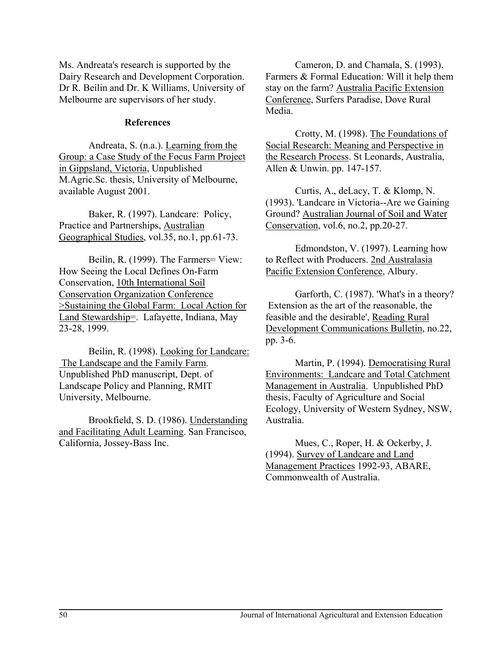Ms. Andreata's research is supported by the Dairy Research and Development Corporation. Dr R. Beilin and Dr. K Williams, University of Melbourne are supervisors of her study.

## **References**

Andreata, S. (n.a.). Learning from the Group: a Case Study of the Focus Farm Project in Gippsland, Victoria, Unpublished M.Agric.Sc. thesis, University of Melbourne, available August 2001.

Baker, R. (1997). Landcare: Policy, Practice and Partnerships, Australian Geographical Studies, vol.35, no.1, pp.61-73.

Beilin, R. (1999). The Farmers= View: How Seeing the Local Defines On-Farm Conservation, 10th International Soil Conservation Organization Conference >Sustaining the Global Farm: Local Action for Land Stewardship=. Lafayette, Indiana, May 23-28, 1999.

Beilin, R. (1998). Looking for Landcare: The Landscape and the Family Farm. Unpublished PhD manuscript, Dept. of Landscape Policy and Planning, RMIT University, Melbourne.

Brookfield, S. D. (1986). Understanding and Facilitating Adult Learning. San Francisco, California, Jossey-Bass Inc.

Cameron, D. and Chamala, S. (1993). Farmers & Formal Education: Will it help them stay on the farm? Australia Pacific Extension Conference, Surfers Paradise, Dove Rural Media.

Crotty, M. (1998). The Foundations of Social Research: Meaning and Perspective in the Research Process. St Leonards, Australia, Allen & Unwin. pp. 147-157.

Curtis, A., deLacy, T. & Klomp, N. (1993). 'Landcare in Victoria--Are we Gaining Ground? Australian Journal of Soil and Water Conservation, vol.6, no.2, pp.20-27.

Edmondston, V. (1997). Learning how to Reflect with Producers. 2nd Australasia Pacific Extension Conference, Albury.

Garforth, C. (1987). 'What's in a theory? Extension as the art of the reasonable, the feasible and the desirable', Reading Rural Development Communications Bulletin, no.22, pp. 3-6.

Martin, P. (1994). Democratising Rural Environments: Landcare and Total Catchment Management in Australia. Unpublished PhD thesis, Faculty of Agriculture and Social Ecology, University of Western Sydney, NSW, Australia.

Mues, C., Roper, H. & Ockerby, J. (1994). Survey of Landcare and Land Management Practices 1992-93, ABARE, Commonwealth of Australia.